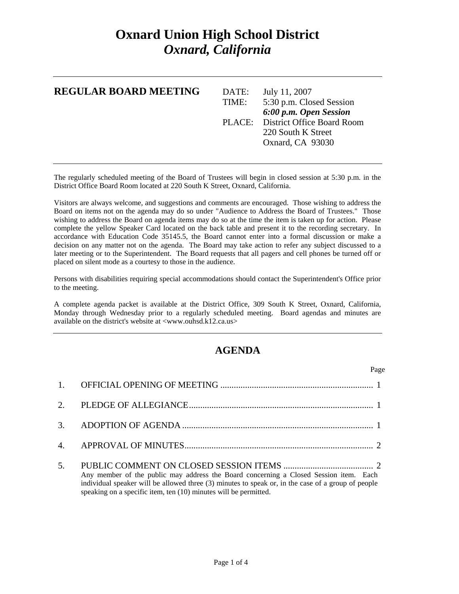## **Oxnard Union High School District**  *Oxnard, California*

| <b>REGULAR BOARD MEETING</b> | DATE:<br>TIME: | July 11, 2007<br>5:30 p.m. Closed Session<br>6:00 p.m. Open Session |
|------------------------------|----------------|---------------------------------------------------------------------|
|                              |                | PLACE: District Office Board Room                                   |
|                              |                | 220 South K Street                                                  |
|                              |                | Oxnard, CA 93030                                                    |
|                              |                |                                                                     |

The regularly scheduled meeting of the Board of Trustees will begin in closed session at 5:30 p.m. in the District Office Board Room located at 220 South K Street, Oxnard, California.

Visitors are always welcome, and suggestions and comments are encouraged. Those wishing to address the Board on items not on the agenda may do so under "Audience to Address the Board of Trustees." Those wishing to address the Board on agenda items may do so at the time the item is taken up for action. Please complete the yellow Speaker Card located on the back table and present it to the recording secretary. In accordance with Education Code 35145.5, the Board cannot enter into a formal discussion or make a decision on any matter not on the agenda. The Board may take action to refer any subject discussed to a later meeting or to the Superintendent. The Board requests that all pagers and cell phones be turned off or placed on silent mode as a courtesy to those in the audience.

Persons with disabilities requiring special accommodations should contact the Superintendent's Office prior to the meeting.

A complete agenda packet is available at the District Office, 309 South K Street, Oxnard, California, Monday through Wednesday prior to a regularly scheduled meeting. Board agendas and minutes are available on the district's website at <www.ouhsd.k12.ca.us>

## **AGENDA**

| Page                                                                                                                                                                                                                                                            |
|-----------------------------------------------------------------------------------------------------------------------------------------------------------------------------------------------------------------------------------------------------------------|
|                                                                                                                                                                                                                                                                 |
|                                                                                                                                                                                                                                                                 |
|                                                                                                                                                                                                                                                                 |
|                                                                                                                                                                                                                                                                 |
| Any member of the public may address the Board concerning a Closed Session item. Each<br>individual speaker will be allowed three (3) minutes to speak or, in the case of a group of people<br>speaking on a specific item, ten (10) minutes will be permitted. |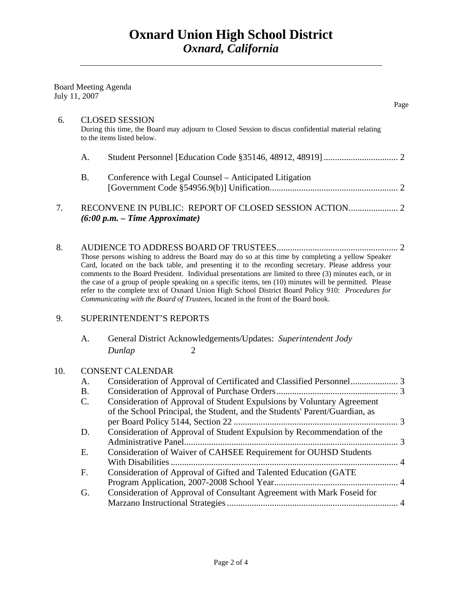Page and the state of the state of the state of the state of the state of the state of the state of the state of the state of the state of the state of the state of the state of the state of the state of the state of the s

|               |  | <b>Board Meeting Agenda</b> |
|---------------|--|-----------------------------|
| July 11, 2007 |  |                             |

| 6.  |                                                                                                                                                                                                                                                                                                                                                                                                                                                                                                                                                                                                                     | <b>CLOSED SESSION</b><br>During this time, the Board may adjourn to Closed Session to discus confidential material relating<br>to the items listed below. |  |  |
|-----|---------------------------------------------------------------------------------------------------------------------------------------------------------------------------------------------------------------------------------------------------------------------------------------------------------------------------------------------------------------------------------------------------------------------------------------------------------------------------------------------------------------------------------------------------------------------------------------------------------------------|-----------------------------------------------------------------------------------------------------------------------------------------------------------|--|--|
|     | A.                                                                                                                                                                                                                                                                                                                                                                                                                                                                                                                                                                                                                  |                                                                                                                                                           |  |  |
|     | <b>B.</b>                                                                                                                                                                                                                                                                                                                                                                                                                                                                                                                                                                                                           | Conference with Legal Counsel - Anticipated Litigation                                                                                                    |  |  |
| 7.  |                                                                                                                                                                                                                                                                                                                                                                                                                                                                                                                                                                                                                     | $(6:00 p.m. - Time Approximate)$                                                                                                                          |  |  |
| 8.  | Those persons wishing to address the Board may do so at this time by completing a yellow Speaker<br>Card, located on the back table, and presenting it to the recording secretary. Please address your<br>comments to the Board President. Individual presentations are limited to three (3) minutes each, or in<br>the case of a group of people speaking on a specific items, ten (10) minutes will be permitted. Please<br>refer to the complete text of Oxnard Union High School District Board Policy 910: Procedures for<br>Communicating with the Board of Trustees, located in the front of the Board book. |                                                                                                                                                           |  |  |
| 9.  |                                                                                                                                                                                                                                                                                                                                                                                                                                                                                                                                                                                                                     | <b>SUPERINTENDENT'S REPORTS</b>                                                                                                                           |  |  |
|     | A.                                                                                                                                                                                                                                                                                                                                                                                                                                                                                                                                                                                                                  | General District Acknowledgements/Updates: Superintendent Jody<br>Dunlap<br>$\overline{2}$                                                                |  |  |
| 10. |                                                                                                                                                                                                                                                                                                                                                                                                                                                                                                                                                                                                                     | <b>CONSENT CALENDAR</b>                                                                                                                                   |  |  |
|     | A.                                                                                                                                                                                                                                                                                                                                                                                                                                                                                                                                                                                                                  |                                                                                                                                                           |  |  |
|     | <b>B.</b>                                                                                                                                                                                                                                                                                                                                                                                                                                                                                                                                                                                                           |                                                                                                                                                           |  |  |
|     | C.                                                                                                                                                                                                                                                                                                                                                                                                                                                                                                                                                                                                                  | Consideration of Approval of Student Expulsions by Voluntary Agreement<br>of the School Principal, the Student, and the Students' Parent/Guardian, as     |  |  |
|     |                                                                                                                                                                                                                                                                                                                                                                                                                                                                                                                                                                                                                     |                                                                                                                                                           |  |  |
|     | D.                                                                                                                                                                                                                                                                                                                                                                                                                                                                                                                                                                                                                  | Consideration of Approval of Student Expulsion by Recommendation of the                                                                                   |  |  |
|     | П                                                                                                                                                                                                                                                                                                                                                                                                                                                                                                                                                                                                                   | $Concideration of Waivar of CABREF$ $Daouirament for OIIHSD Studente$                                                                                     |  |  |

- E. Consideration of Waiver of CAHSEE Requirement for OUHSD Students With Disabilities ..................................................................................................... 4 F. Consideration of Approval of Gifted and Talented Education (GATE Program Application, 2007-2008 School Year ....................................................... 4
- G. Consideration of Approval of Consultant Agreement with Mark Foseid for Marzano Instructional Strategies ............................................................................ 4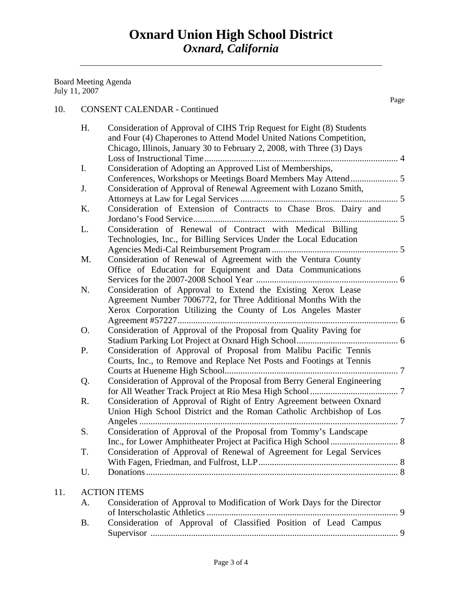Board Meeting Agenda July 11, 2007

11.

## 10. CONSENT CALENDAR - Continued

Page **Page** 

| H.        | Consideration of Approval of CIHS Trip Request for Eight (8) Students                                                       |  |
|-----------|-----------------------------------------------------------------------------------------------------------------------------|--|
|           | and Four (4) Chaperones to Attend Model United Nations Competition,                                                         |  |
|           | Chicago, Illinois, January 30 to February 2, 2008, with Three (3) Days                                                      |  |
|           |                                                                                                                             |  |
| I.        | Consideration of Adopting an Approved List of Memberships,<br>Conferences, Workshops or Meetings Board Members May Attend 5 |  |
| J.        | Consideration of Approval of Renewal Agreement with Lozano Smith,                                                           |  |
|           |                                                                                                                             |  |
| K.        | Consideration of Extension of Contracts to Chase Bros. Dairy and                                                            |  |
|           |                                                                                                                             |  |
| L.        | Consideration of Renewal of Contract with Medical Billing                                                                   |  |
|           | Technologies, Inc., for Billing Services Under the Local Education                                                          |  |
|           |                                                                                                                             |  |
| M.        | Consideration of Renewal of Agreement with the Ventura County                                                               |  |
|           | Office of Education for Equipment and Data Communications                                                                   |  |
|           |                                                                                                                             |  |
| N.        | Consideration of Approval to Extend the Existing Xerox Lease                                                                |  |
|           | Agreement Number 7006772, for Three Additional Months With the                                                              |  |
|           | Xerox Corporation Utilizing the County of Los Angeles Master                                                                |  |
| O.        | Consideration of Approval of the Proposal from Quality Paving for                                                           |  |
|           |                                                                                                                             |  |
| P.        | Consideration of Approval of Proposal from Malibu Pacific Tennis                                                            |  |
|           | Courts, Inc., to Remove and Replace Net Posts and Footings at Tennis                                                        |  |
|           |                                                                                                                             |  |
| Q.        | Consideration of Approval of the Proposal from Berry General Engineering                                                    |  |
|           |                                                                                                                             |  |
| R.        | Consideration of Approval of Right of Entry Agreement between Oxnard                                                        |  |
|           | Union High School District and the Roman Catholic Archbishop of Los                                                         |  |
|           |                                                                                                                             |  |
| S.        | Consideration of Approval of the Proposal from Tommy's Landscape                                                            |  |
| T.        | Consideration of Approval of Renewal of Agreement for Legal Services                                                        |  |
|           |                                                                                                                             |  |
| U.        |                                                                                                                             |  |
|           |                                                                                                                             |  |
|           | <b>ACTION ITEMS</b>                                                                                                         |  |
| A.        | Consideration of Approval to Modification of Work Days for the Director                                                     |  |
|           |                                                                                                                             |  |
| <b>B.</b> | Consideration of Approval of Classified Position of Lead Campus                                                             |  |
|           |                                                                                                                             |  |